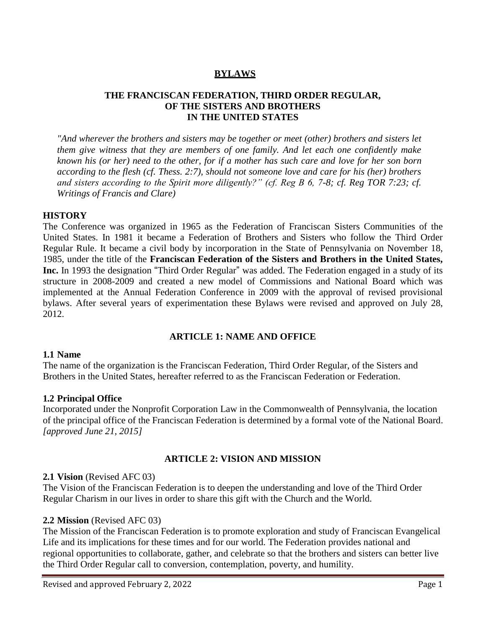# **BYLAWS**

### **THE FRANCISCAN FEDERATION, THIRD ORDER REGULAR, OF THE SISTERS AND BROTHERS IN THE UNITED STATES**

*"And wherever the brothers and sisters may be together or meet (other) brothers and sisters let them give witness that they are members of one family. And let each one confidently make known his (or her) need to the other, for if a mother has such care and love for her son born according to the flesh (cf. Thess. 2:7), should not someone love and care for his (her) brothers and sisters according to the Spirit more diligently?" (cf. Reg B 6, 7-8; cf. Reg TOR 7:23; cf. Writings of Francis and Clare)* 

#### **HISTORY**

The Conference was organized in 1965 as the Federation of Franciscan Sisters Communities of the United States. In 1981 it became a Federation of Brothers and Sisters who follow the Third Order Regular Rule. It became a civil body by incorporation in the State of Pennsylvania on November 18, 1985, under the title of the **Franciscan Federation of the Sisters and Brothers in the United States, Inc.** In 1993 the designation "Third Order Regular" was added. The Federation engaged in a study of its structure in 2008-2009 and created a new model of Commissions and National Board which was implemented at the Annual Federation Conference in 2009 with the approval of revised provisional bylaws. After several years of experimentation these Bylaws were revised and approved on July 28, 2012.

### **ARTICLE 1: NAME AND OFFICE**

#### **1.1 Name**

The name of the organization is the Franciscan Federation, Third Order Regular, of the Sisters and Brothers in the United States, hereafter referred to as the Franciscan Federation or Federation.

#### **1.2 Principal Office**

Incorporated under the Nonprofit Corporation Law in the Commonwealth of Pennsylvania, the location of the principal office of the Franciscan Federation is determined by a formal vote of the National Board. *[approved June 21, 2015]*

#### **ARTICLE 2: VISION AND MISSION**

#### **2.1 Vision** (Revised AFC 03)

The Vision of the Franciscan Federation is to deepen the understanding and love of the Third Order Regular Charism in our lives in order to share this gift with the Church and the World.

#### **2.2 Mission** (Revised AFC 03)

The Mission of the Franciscan Federation is to promote exploration and study of Franciscan Evangelical Life and its implications for these times and for our world. The Federation provides national and regional opportunities to collaborate, gather, and celebrate so that the brothers and sisters can better live the Third Order Regular call to conversion, contemplation, poverty, and humility.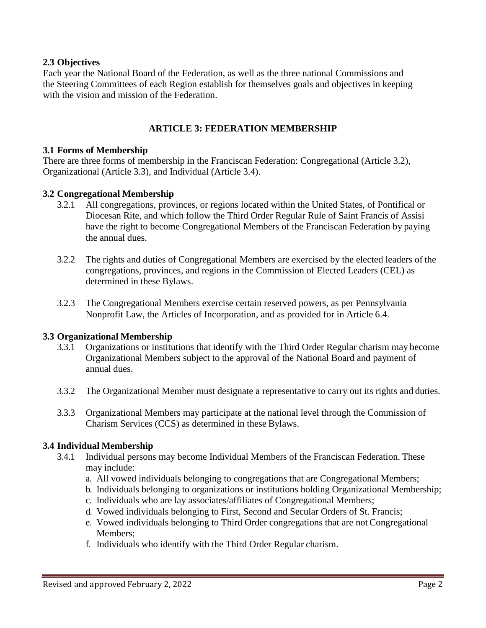### **2.3 Objectives**

Each year the National Board of the Federation, as well as the three national Commissions and the Steering Committees of each Region establish for themselves goals and objectives in keeping with the vision and mission of the Federation.

### **ARTICLE 3: FEDERATION MEMBERSHIP**

#### **3.1 Forms of Membership**

There are three forms of membership in the Franciscan Federation: Congregational (Article 3.2), Organizational (Article 3.3), and Individual (Article 3.4).

#### **3.2 Congregational Membership**

- 3.2.1 All congregations, provinces, or regions located within the United States, of Pontifical or Diocesan Rite, and which follow the Third Order Regular Rule of Saint Francis of Assisi have the right to become Congregational Members of the Franciscan Federation by paying the annual dues.
- 3.2.2 The rights and duties of Congregational Members are exercised by the elected leaders of the congregations, provinces, and regions in the Commission of Elected Leaders (CEL) as determined in these Bylaws.
- 3.2.3 The Congregational Members exercise certain reserved powers, as per Pennsylvania Nonprofit Law, the Articles of Incorporation, and as provided for in Article 6.4.

#### **3.3 Organizational Membership**

- 3.3.1 Organizations or institutions that identify with the Third Order Regular charism may become Organizational Members subject to the approval of the National Board and payment of annual dues.
- 3.3.2 The Organizational Member must designate a representative to carry out its rights and duties.
- 3.3.3 Organizational Members may participate at the national level through the Commission of Charism Services (CCS) as determined in these Bylaws.

#### **3.4 Individual Membership**

- 3.4.1 Individual persons may become Individual Members of the Franciscan Federation. These may include:
	- a. All vowed individuals belonging to congregations that are Congregational Members;
	- b. Individuals belonging to organizations or institutions holding Organizational Membership;
	- c. Individuals who are lay associates/affiliates of Congregational Members;
	- d. Vowed individuals belonging to First, Second and Secular Orders of St. Francis;
	- e. Vowed individuals belonging to Third Order congregations that are not Congregational Members;
	- f. Individuals who identify with the Third Order Regular charism.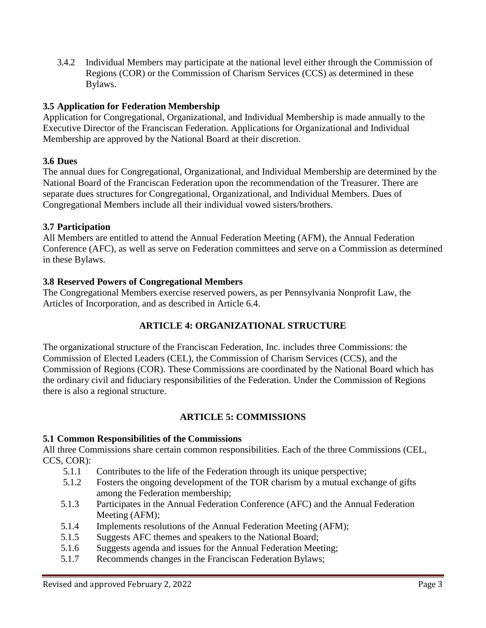3.4.2 Individual Members may participate at the national level either through the Commission of Regions (COR) or the Commission of Charism Services (CCS) as determined in these Bylaws.

## **3.5 Application for Federation Membership**

Application for Congregational, Organizational, and Individual Membership is made annually to the Executive Director of the Franciscan Federation. Applications for Organizational and Individual Membership are approved by the National Board at their discretion.

## **3.6 Dues**

The annual dues for Congregational, Organizational, and Individual Membership are determined by the National Board of the Franciscan Federation upon the recommendation of the Treasurer. There are separate dues structures for Congregational, Organizational, and Individual Members. Dues of Congregational Members include all their individual vowed sisters/brothers.

### **3.7 Participation**

All Members are entitled to attend the Annual Federation Meeting (AFM), the Annual Federation Conference (AFC), as well as serve on Federation committees and serve on a Commission as determined in these Bylaws.

### **3.8 Reserved Powers of Congregational Members**

The Congregational Members exercise reserved powers, as per Pennsylvania Nonprofit Law, the Articles of Incorporation, and as described in Article 6.4.

### **ARTICLE 4: ORGANIZATIONAL STRUCTURE**

The organizational structure of the Franciscan Federation, Inc. includes three Commissions: the Commission of Elected Leaders (CEL), the Commission of Charism Services (CCS), and the Commission of Regions (COR). These Commissions are coordinated by the National Board which has the ordinary civil and fiduciary responsibilities of the Federation. Under the Commission of Regions there is also a regional structure.

# **ARTICLE 5: COMMISSIONS**

### **5.1 Common Responsibilities of the Commissions**

All three Commissions share certain common responsibilities. Each of the three Commissions (CEL, CCS, COR):

- 5.1.1 Contributes to the life of the Federation through its unique perspective;
- 5.1.2 Fosters the ongoing development of the TOR charism by a mutual exchange of gifts among the Federation membership;
- 5.1.3 Participates in the Annual Federation Conference (AFC) and the Annual Federation Meeting (AFM);
- 5.1.4 Implements resolutions of the Annual Federation Meeting (AFM);
- 5.1.5 Suggests AFC themes and speakers to the National Board;
- 5.1.6 Suggests agenda and issues for the Annual Federation Meeting;
- 5.1.7 Recommends changes in the Franciscan Federation Bylaws;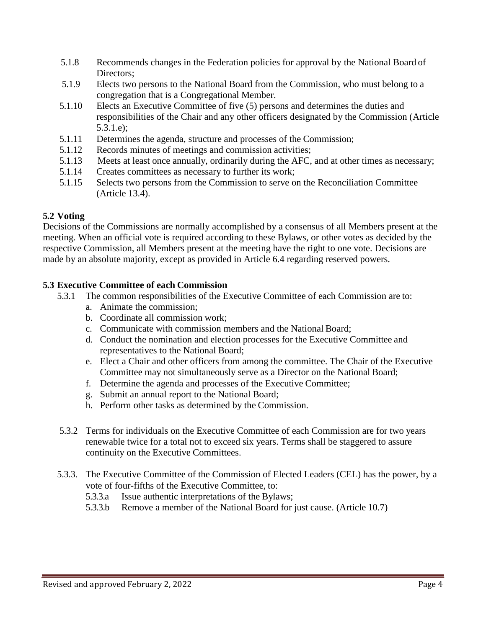- 5.1.8 Recommends changes in the Federation policies for approval by the National Board of Directors:
- 5.1.9 Elects two persons to the National Board from the Commission, who must belong to a congregation that is a Congregational Member.
- 5.1.10 Elects an Executive Committee of five (5) persons and determines the duties and responsibilities of the Chair and any other officers designated by the Commission (Article 5.3.1.e);
- 5.1.11 Determines the agenda, structure and processes of the Commission;
- 5.1.12 Records minutes of meetings and commission activities;
- 5.1.13 Meets at least once annually, ordinarily during the AFC, and at other times as necessary;
- 5.1.14 Creates committees as necessary to further its work;
- 5.1.15 Selects two persons from the Commission to serve on the Reconciliation Committee (Article 13.4).

### **5.2 Voting**

Decisions of the Commissions are normally accomplished by a consensus of all Members present at the meeting. When an official vote is required according to these Bylaws, or other votes as decided by the respective Commission, all Members present at the meeting have the right to one vote. Decisions are made by an absolute majority, except as provided in Article 6.4 regarding reserved powers.

#### **5.3 Executive Committee of each Commission**

- 5.3.1 The common responsibilities of the Executive Committee of each Commission are to:
	- a. Animate the commission;
	- b. Coordinate all commission work;
	- c. Communicate with commission members and the National Board;
	- d. Conduct the nomination and election processes for the Executive Committee and representatives to the National Board;
	- e. Elect a Chair and other officers from among the committee. The Chair of the Executive Committee may not simultaneously serve as a Director on the National Board;
	- f. Determine the agenda and processes of the Executive Committee;
	- g. Submit an annual report to the National Board;
	- h. Perform other tasks as determined by the Commission.
- 5.3.2 Terms for individuals on the Executive Committee of each Commission are for two years renewable twice for a total not to exceed six years. Terms shall be staggered to assure continuity on the Executive Committees.
- 5.3.3. The Executive Committee of the Commission of Elected Leaders (CEL) has the power, by a vote of four-fifths of the Executive Committee, to:
	- 5.3.3.a Issue authentic interpretations of the Bylaws;
	- 5.3.3.b Remove a member of the National Board for just cause. (Article 10.7)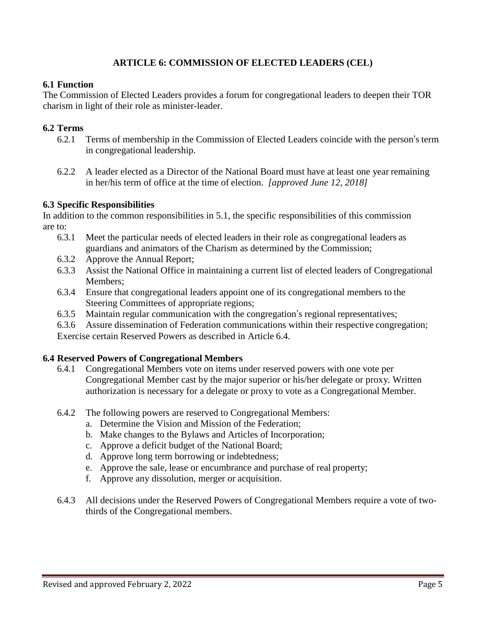# **ARTICLE 6: COMMISSION OF ELECTED LEADERS (CEL)**

### **6.1 Function**

The Commission of Elected Leaders provides a forum for congregational leaders to deepen their TOR charism in light of their role as minister-leader.

### **6.2 Terms**

- 6.2.1 Terms of membership in the Commission of Elected Leaders coincide with the person's term in congregational leadership.
- 6.2.2 A leader elected as a Director of the National Board must have at least one year remaining in her/his term of office at the time of election. *[approved June 12, 2018]*

#### **6.3 Specific Responsibilities**

In addition to the common responsibilities in 5.1, the specific responsibilities of this commission are to:

- 6.3.1 Meet the particular needs of elected leaders in their role as congregational leaders as guardians and animators of the Charism as determined by the Commission;
- 6.3.2 Approve the Annual Report;
- 6.3.3 Assist the National Office in maintaining a current list of elected leaders of Congregational Members;
- 6.3.4 Ensure that congregational leaders appoint one of its congregational members to the Steering Committees of appropriate regions;
- 6.3.5 Maintain regular communication with the congregation's regional representatives;

6.3.6 Assure dissemination of Federation communications within their respective congregation; Exercise certain Reserved Powers as described in Article 6.4.

#### **6.4 Reserved Powers of Congregational Members**

- 6.4.1 Congregational Members vote on items under reserved powers with one vote per Congregational Member cast by the major superior or his/her delegate or proxy. Written authorization is necessary for a delegate or proxy to vote as a Congregational Member.
- 6.4.2 The following powers are reserved to Congregational Members:
	- a. Determine the Vision and Mission of the Federation;
	- b. Make changes to the Bylaws and Articles of Incorporation;
	- c. Approve a deficit budget of the National Board;
	- d. Approve long term borrowing or indebtedness;
	- e. Approve the sale, lease or encumbrance and purchase of real property;
	- f. Approve any dissolution, merger or acquisition.
- 6.4.3 All decisions under the Reserved Powers of Congregational Members require a vote of twothirds of the Congregational members.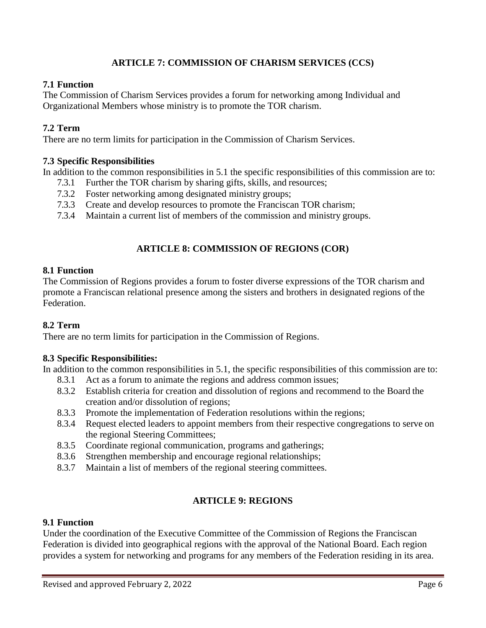# **ARTICLE 7: COMMISSION OF CHARISM SERVICES (CCS)**

### **7.1 Function**

The Commission of Charism Services provides a forum for networking among Individual and Organizational Members whose ministry is to promote the TOR charism.

### **7.2 Term**

There are no term limits for participation in the Commission of Charism Services.

### **7.3 Specific Responsibilities**

In addition to the common responsibilities in 5.1 the specific responsibilities of this commission are to:

- 7.3.1 Further the TOR charism by sharing gifts, skills, and resources;
- 7.3.2 Foster networking among designated ministry groups;
- 7.3.3 Create and develop resources to promote the Franciscan TOR charism;
- 7.3.4 Maintain a current list of members of the commission and ministry groups.

# **ARTICLE 8: COMMISSION OF REGIONS (COR)**

### **8.1 Function**

The Commission of Regions provides a forum to foster diverse expressions of the TOR charism and promote a Franciscan relational presence among the sisters and brothers in designated regions of the Federation.

#### **8.2 Term**

There are no term limits for participation in the Commission of Regions.

#### **8.3 Specific Responsibilities:**

In addition to the common responsibilities in 5.1, the specific responsibilities of this commission are to:

- 8.3.1 Act as a forum to animate the regions and address common issues;
- 8.3.2 Establish criteria for creation and dissolution of regions and recommend to the Board the creation and/or dissolution of regions;
- 8.3.3 Promote the implementation of Federation resolutions within the regions;
- 8.3.4 Request elected leaders to appoint members from their respective congregations to serve on the regional Steering Committees;
- 8.3.5 Coordinate regional communication, programs and gatherings;
- 8.3.6 Strengthen membership and encourage regional relationships;
- 8.3.7 Maintain a list of members of the regional steering committees.

### **ARTICLE 9: REGIONS**

#### **9.1 Function**

Under the coordination of the Executive Committee of the Commission of Regions the Franciscan Federation is divided into geographical regions with the approval of the National Board. Each region provides a system for networking and programs for any members of the Federation residing in its area.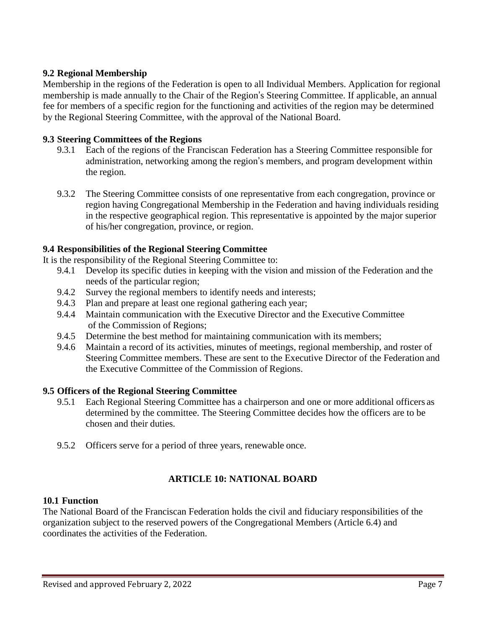### **9.2 Regional Membership**

Membership in the regions of the Federation is open to all Individual Members. Application for regional membership is made annually to the Chair of the Region's Steering Committee. If applicable, an annual fee for members of a specific region for the functioning and activities of the region may be determined by the Regional Steering Committee, with the approval of the National Board.

## **9.3 Steering Committees of the Regions**

- 9.3.1 Each of the regions of the Franciscan Federation has a Steering Committee responsible for administration, networking among the region's members, and program development within the region.
- 9.3.2 The Steering Committee consists of one representative from each congregation, province or region having Congregational Membership in the Federation and having individuals residing in the respective geographical region. This representative is appointed by the major superior of his/her congregation, province, or region.

## **9.4 Responsibilities of the Regional Steering Committee**

It is the responsibility of the Regional Steering Committee to:

- 9.4.1 Develop its specific duties in keeping with the vision and mission of the Federation and the needs of the particular region;
- 9.4.2 Survey the regional members to identify needs and interests;
- 9.4.3 Plan and prepare at least one regional gathering each year;
- 9.4.4 Maintain communication with the Executive Director and the Executive Committee of the Commission of Regions;
- 9.4.5 Determine the best method for maintaining communication with its members;
- 9.4.6 Maintain a record of its activities, minutes of meetings, regional membership, and roster of Steering Committee members. These are sent to the Executive Director of the Federation and the Executive Committee of the Commission of Regions.

### **9.5 Officers of the Regional Steering Committee**

- 9.5.1 Each Regional Steering Committee has a chairperson and one or more additional officers as determined by the committee. The Steering Committee decides how the officers are to be chosen and their duties.
- 9.5.2 Officers serve for a period of three years, renewable once.

# **ARTICLE 10: NATIONAL BOARD**

### **10.1 Function**

The National Board of the Franciscan Federation holds the civil and fiduciary responsibilities of the organization subject to the reserved powers of the Congregational Members (Article 6.4) and coordinates the activities of the Federation.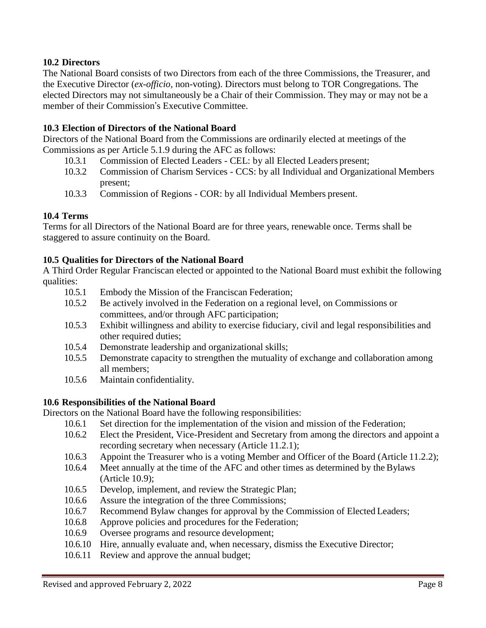### **10.2 Directors**

The National Board consists of two Directors from each of the three Commissions, the Treasurer, and the Executive Director (*ex-officio,* non-voting). Directors must belong to TOR Congregations. The elected Directors may not simultaneously be a Chair of their Commission. They may or may not be a member of their Commission's Executive Committee.

## **10.3 Election of Directors of the National Board**

Directors of the National Board from the Commissions are ordinarily elected at meetings of the Commissions as per Article 5.1.9 during the AFC as follows:

- 10.3.1 Commission of Elected Leaders CEL: by all Elected Leaders present;
- 10.3.2 Commission of Charism Services CCS: by all Individual and Organizational Members present;
- 10.3.3 Commission of Regions COR: by all Individual Members present.

## **10.4 Terms**

Terms for all Directors of the National Board are for three years, renewable once. Terms shall be staggered to assure continuity on the Board.

### **10.5 Qualities for Directors of the National Board**

A Third Order Regular Franciscan elected or appointed to the National Board must exhibit the following qualities:

- 10.5.1 Embody the Mission of the Franciscan Federation;
- 10.5.2 Be actively involved in the Federation on a regional level, on Commissions or committees, and/or through AFC participation;
- 10.5.3 Exhibit willingness and ability to exercise fiduciary, civil and legal responsibilities and other required duties;
- 10.5.4 Demonstrate leadership and organizational skills;
- 10.5.5 Demonstrate capacity to strengthen the mutuality of exchange and collaboration among all members;
- 10.5.6 Maintain confidentiality.

### **10.6 Responsibilities of the National Board**

Directors on the National Board have the following responsibilities:

- 10.6.1 Set direction for the implementation of the vision and mission of the Federation;
- 10.6.2 Elect the President, Vice-President and Secretary from among the directors and appoint a recording secretary when necessary (Article 11.2.1);
- 10.6.3 Appoint the Treasurer who is a voting Member and Officer of the Board (Article 11.2.2);
- 10.6.4 Meet annually at the time of the AFC and other times as determined by the Bylaws (Article 10.9);
- 10.6.5 Develop, implement, and review the Strategic Plan;
- 10.6.6 Assure the integration of the three Commissions;
- 10.6.7 Recommend Bylaw changes for approval by the Commission of Elected Leaders;
- 10.6.8 Approve policies and procedures for the Federation;
- 10.6.9 Oversee programs and resource development;
- 10.6.10 Hire, annually evaluate and, when necessary, dismiss the Executive Director;
- 10.6.11 Review and approve the annual budget;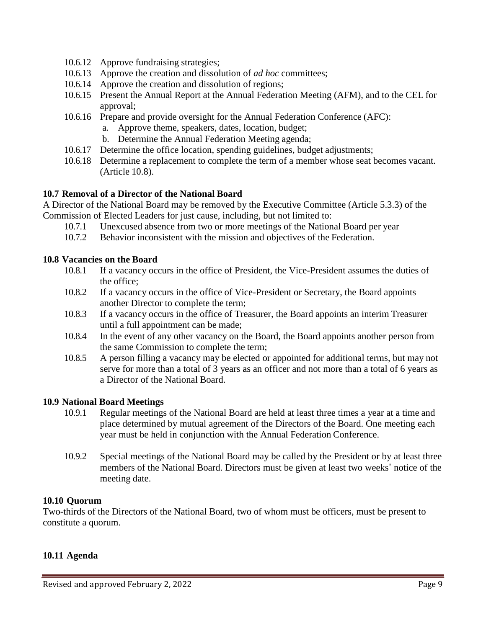- 10.6.12 Approve fundraising strategies;
- 10.6.13 Approve the creation and dissolution of *ad hoc* committees;
- 10.6.14 Approve the creation and dissolution of regions;
- 10.6.15 Present the Annual Report at the Annual Federation Meeting (AFM), and to the CEL for approval;
- 10.6.16 Prepare and provide oversight for the Annual Federation Conference (AFC):
	- a. Approve theme, speakers, dates, location, budget;
	- b. Determine the Annual Federation Meeting agenda;
- 10.6.17 Determine the office location, spending guidelines, budget adjustments;
- 10.6.18 Determine a replacement to complete the term of a member whose seat becomes vacant. (Article 10.8).

### **10.7 Removal of a Director of the National Board**

A Director of the National Board may be removed by the Executive Committee (Article 5.3.3) of the Commission of Elected Leaders for just cause, including, but not limited to:

- 10.7.1 Unexcused absence from two or more meetings of the National Board per year
- 10.7.2 Behavior inconsistent with the mission and objectives of the Federation.

### **10.8 Vacancies on the Board**

- 10.8.1 If a vacancy occurs in the office of President, the Vice-President assumes the duties of the office;
- 10.8.2 If a vacancy occurs in the office of Vice-President or Secretary, the Board appoints another Director to complete the term;
- 10.8.3 If a vacancy occurs in the office of Treasurer, the Board appoints an interim Treasurer until a full appointment can be made;
- 10.8.4 In the event of any other vacancy on the Board, the Board appoints another person from the same Commission to complete the term;
- 10.8.5 A person filling a vacancy may be elected or appointed for additional terms, but may not serve for more than a total of 3 years as an officer and not more than a total of 6 years as a Director of the National Board.

#### **10.9 National Board Meetings**

- 10.9.1 Regular meetings of the National Board are held at least three times a year at a time and place determined by mutual agreement of the Directors of the Board. One meeting each year must be held in conjunction with the Annual Federation Conference.
- 10.9.2 Special meetings of the National Board may be called by the President or by at least three members of the National Board. Directors must be given at least two weeks' notice of the meeting date.

#### **10.10 Quorum**

Two-thirds of the Directors of the National Board, two of whom must be officers, must be present to constitute a quorum.

#### **10.11 Agenda**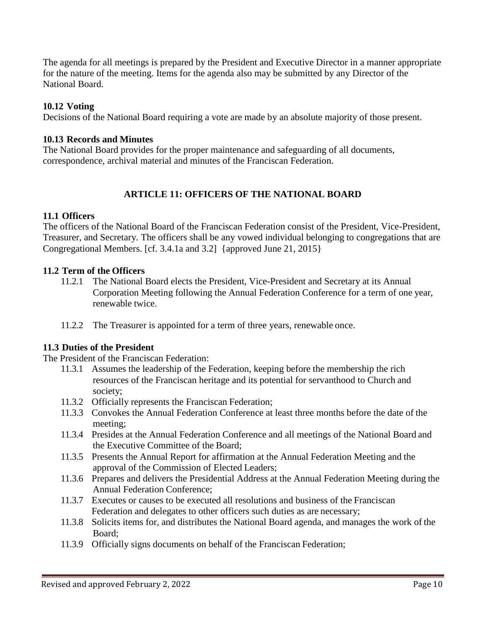The agenda for all meetings is prepared by the President and Executive Director in a manner appropriate for the nature of the meeting. Items for the agenda also may be submitted by any Director of the National Board.

### **10.12 Voting**

Decisions of the National Board requiring a vote are made by an absolute majority of those present.

#### **10.13 Records and Minutes**

The National Board provides for the proper maintenance and safeguarding of all documents, correspondence, archival material and minutes of the Franciscan Federation.

### **ARTICLE 11: OFFICERS OF THE NATIONAL BOARD**

#### **11.1 Officers**

The officers of the National Board of the Franciscan Federation consist of the President, Vice-President, Treasurer, and Secretary. The officers shall be any vowed individual belonging to congregations that are Congregational Members. [cf. 3.4.1a and 3.2] {approved June 21, 2015}

#### **11.2 Term of the Officers**

- 11.2.1 The National Board elects the President, Vice-President and Secretary at its Annual Corporation Meeting following the Annual Federation Conference for a term of one year, renewable twice.
- 11.2.2 The Treasurer is appointed for a term of three years, renewable once.

#### **11.3 Duties of the President**

The President of the Franciscan Federation:

- 11.3.1 Assumes the leadership of the Federation, keeping before the membership the rich resources of the Franciscan heritage and its potential for servanthood to Church and society;
- 11.3.2 Officially represents the Franciscan Federation;
- 11.3.3 Convokes the Annual Federation Conference at least three months before the date of the meeting;
- 11.3.4 Presides at the Annual Federation Conference and all meetings of the National Board and the Executive Committee of the Board;
- 11.3.5 Presents the Annual Report for affirmation at the Annual Federation Meeting and the approval of the Commission of Elected Leaders;
- 11.3.6 Prepares and delivers the Presidential Address at the Annual Federation Meeting during the Annual Federation Conference;
- 11.3.7 Executes or causes to be executed all resolutions and business of the Franciscan Federation and delegates to other officers such duties as are necessary;
- 11.3.8 Solicits items for, and distributes the National Board agenda, and manages the work of the Board;
- 11.3.9 Officially signs documents on behalf of the Franciscan Federation;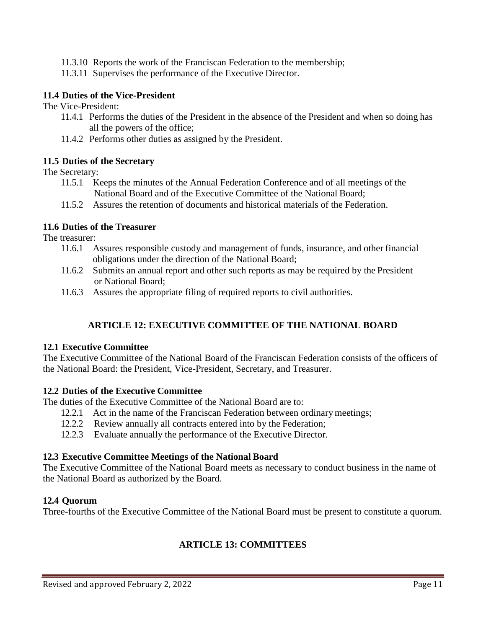- 11.3.10 Reports the work of the Franciscan Federation to the membership;
- 11.3.11 Supervises the performance of the Executive Director.

### **11.4 Duties of the Vice-President**

The Vice-President:

- 11.4.1 Performs the duties of the President in the absence of the President and when so doing has all the powers of the office;
- 11.4.2 Performs other duties as assigned by the President.

### **11.5 Duties of the Secretary**

The Secretary:

- 11.5.1 Keeps the minutes of the Annual Federation Conference and of all meetings of the National Board and of the Executive Committee of the National Board;
- 11.5.2 Assures the retention of documents and historical materials of the Federation.

### **11.6 Duties of the Treasurer**

The treasurer:

- 11.6.1 Assures responsible custody and management of funds, insurance, and other financial obligations under the direction of the National Board;
- 11.6.2 Submits an annual report and other such reports as may be required by the President or National Board;
- 11.6.3 Assures the appropriate filing of required reports to civil authorities.

# **ARTICLE 12: EXECUTIVE COMMITTEE OF THE NATIONAL BOARD**

#### **12.1 Executive Committee**

The Executive Committee of the National Board of the Franciscan Federation consists of the officers of the National Board: the President, Vice-President, Secretary, and Treasurer.

### **12.2 Duties of the Executive Committee**

The duties of the Executive Committee of the National Board are to:

- 12.2.1 Act in the name of the Franciscan Federation between ordinary meetings;
- 12.2.2 Review annually all contracts entered into by the Federation;
- 12.2.3 Evaluate annually the performance of the Executive Director.

#### **12.3 Executive Committee Meetings of the National Board**

The Executive Committee of the National Board meets as necessary to conduct business in the name of the National Board as authorized by the Board.

#### **12.4 Quorum**

Three-fourths of the Executive Committee of the National Board must be present to constitute a quorum.

# **ARTICLE 13: COMMITTEES**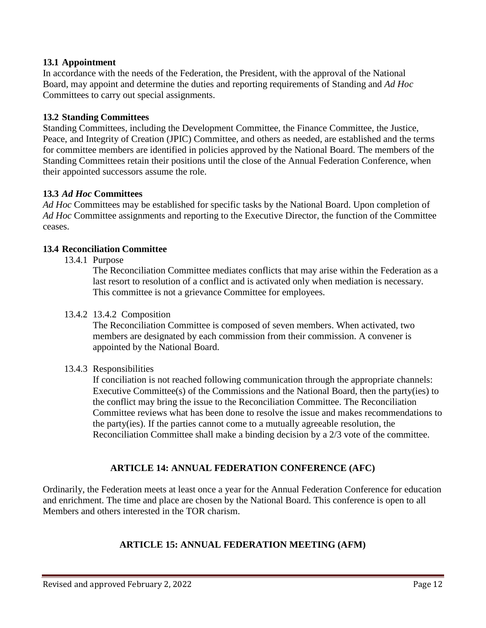### **13.1 Appointment**

In accordance with the needs of the Federation, the President, with the approval of the National Board, may appoint and determine the duties and reporting requirements of Standing and *Ad Hoc*  Committees to carry out special assignments.

### **13.2 Standing Committees**

Standing Committees, including the Development Committee, the Finance Committee, the Justice, Peace, and Integrity of Creation (JPIC) Committee, and others as needed, are established and the terms for committee members are identified in policies approved by the National Board. The members of the Standing Committees retain their positions until the close of the Annual Federation Conference, when their appointed successors assume the role.

### **13.3** *Ad Hoc* **Committees**

*Ad Hoc* Committees may be established for specific tasks by the National Board. Upon completion of *Ad Hoc* Committee assignments and reporting to the Executive Director, the function of the Committee ceases.

#### **13.4 Reconciliation Committee**

13.4.1 Purpose

The Reconciliation Committee mediates conflicts that may arise within the Federation as a last resort to resolution of a conflict and is activated only when mediation is necessary. This committee is not a grievance Committee for employees.

#### 13.4.2 13.4.2 Composition

The Reconciliation Committee is composed of seven members. When activated, two members are designated by each commission from their commission. A convener is appointed by the National Board.

#### 13.4.3 Responsibilities

If conciliation is not reached following communication through the appropriate channels: Executive Committee(s) of the Commissions and the National Board, then the party(ies) to the conflict may bring the issue to the Reconciliation Committee. The Reconciliation Committee reviews what has been done to resolve the issue and makes recommendations to the party(ies). If the parties cannot come to a mutually agreeable resolution, the Reconciliation Committee shall make a binding decision by a 2/3 vote of the committee.

#### **ARTICLE 14: ANNUAL FEDERATION CONFERENCE (AFC)**

Ordinarily, the Federation meets at least once a year for the Annual Federation Conference for education and enrichment. The time and place are chosen by the National Board. This conference is open to all Members and others interested in the TOR charism.

### **ARTICLE 15: ANNUAL FEDERATION MEETING (AFM)**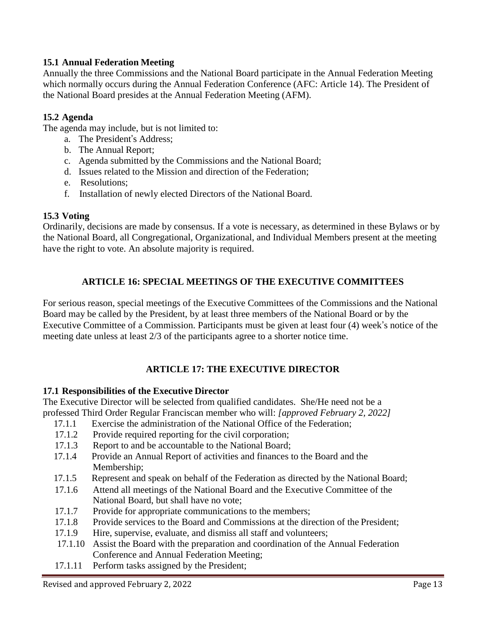## **15.1 Annual Federation Meeting**

Annually the three Commissions and the National Board participate in the Annual Federation Meeting which normally occurs during the Annual Federation Conference (AFC: Article 14). The President of the National Board presides at the Annual Federation Meeting (AFM).

## **15.2 Agenda**

The agenda may include, but is not limited to:

- a. The President's Address;
- b. The Annual Report;
- c. Agenda submitted by the Commissions and the National Board;
- d. Issues related to the Mission and direction of the Federation;
- e. Resolutions;
- f. Installation of newly elected Directors of the National Board.

## **15.3 Voting**

Ordinarily, decisions are made by consensus. If a vote is necessary, as determined in these Bylaws or by the National Board, all Congregational, Organizational, and Individual Members present at the meeting have the right to vote. An absolute majority is required.

# **ARTICLE 16: SPECIAL MEETINGS OF THE EXECUTIVE COMMITTEES**

For serious reason, special meetings of the Executive Committees of the Commissions and the National Board may be called by the President, by at least three members of the National Board or by the Executive Committee of a Commission. Participants must be given at least four (4) week's notice of the meeting date unless at least 2/3 of the participants agree to a shorter notice time.

# **ARTICLE 17: THE EXECUTIVE DIRECTOR**

### **17.1 Responsibilities of the Executive Director**

The Executive Director will be selected from qualified candidates. She/He need not be a professed Third Order Regular Franciscan member who will: *[approved February 2, 2022]*

- 17.1.1 Exercise the administration of the National Office of the Federation;
- 17.1.2 Provide required reporting for the civil corporation;
- 17.1.3 Report to and be accountable to the National Board;
- 17.1.4 Provide an Annual Report of activities and finances to the Board and the Membership;
- 17.1.5 Represent and speak on behalf of the Federation as directed by the National Board;
- 17.1.6 Attend all meetings of the National Board and the Executive Committee of the National Board, but shall have no vote;
- 17.1.7 Provide for appropriate communications to the members:
- 17.1.8 Provide services to the Board and Commissions at the direction of the President;
- 17.1.9 Hire, supervise, evaluate, and dismiss all staff and volunteers;
- 17.1.10 Assist the Board with the preparation and coordination of the Annual Federation Conference and Annual Federation Meeting;
- 17.1.11 Perform tasks assigned by the President;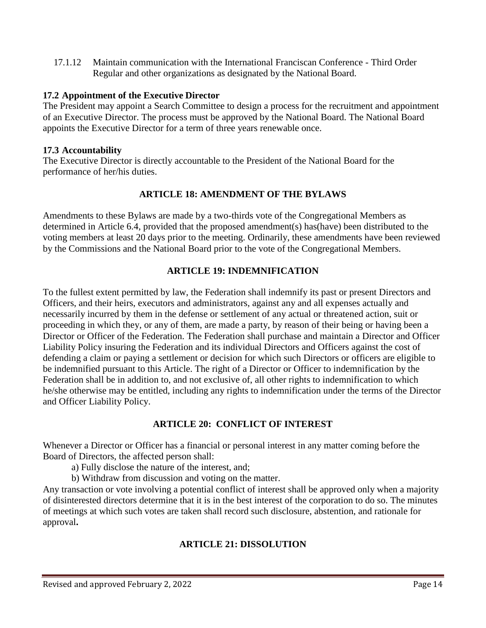17.1.12 Maintain communication with the International Franciscan Conference - Third Order Regular and other organizations as designated by the National Board.

### **17.2 Appointment of the Executive Director**

The President may appoint a Search Committee to design a process for the recruitment and appointment of an Executive Director. The process must be approved by the National Board. The National Board appoints the Executive Director for a term of three years renewable once.

## **17.3 Accountability**

The Executive Director is directly accountable to the President of the National Board for the performance of her/his duties.

# **ARTICLE 18: AMENDMENT OF THE BYLAWS**

Amendments to these Bylaws are made by a two-thirds vote of the Congregational Members as determined in Article 6.4, provided that the proposed amendment(s) has(have) been distributed to the voting members at least 20 days prior to the meeting. Ordinarily, these amendments have been reviewed by the Commissions and the National Board prior to the vote of the Congregational Members.

# **ARTICLE 19: INDEMNIFICATION**

To the fullest extent permitted by law, the Federation shall indemnify its past or present Directors and Officers, and their heirs, executors and administrators, against any and all expenses actually and necessarily incurred by them in the defense or settlement of any actual or threatened action, suit or proceeding in which they, or any of them, are made a party, by reason of their being or having been a Director or Officer of the Federation. The Federation shall purchase and maintain a Director and Officer Liability Policy insuring the Federation and its individual Directors and Officers against the cost of defending a claim or paying a settlement or decision for which such Directors or officers are eligible to be indemnified pursuant to this Article. The right of a Director or Officer to indemnification by the Federation shall be in addition to, and not exclusive of, all other rights to indemnification to which he/she otherwise may be entitled, including any rights to indemnification under the terms of the Director and Officer Liability Policy.

### **ARTICLE 20: CONFLICT OF INTEREST**

Whenever a Director or Officer has a financial or personal interest in any matter coming before the Board of Directors, the affected person shall:

- a) Fully disclose the nature of the interest, and;
- b) Withdraw from discussion and voting on the matter.

Any transaction or vote involving a potential conflict of interest shall be approved only when a majority of disinterested directors determine that it is in the best interest of the corporation to do so. The minutes of meetings at which such votes are taken shall record such disclosure, abstention, and rationale for approval**.** 

# **ARTICLE 21: DISSOLUTION**